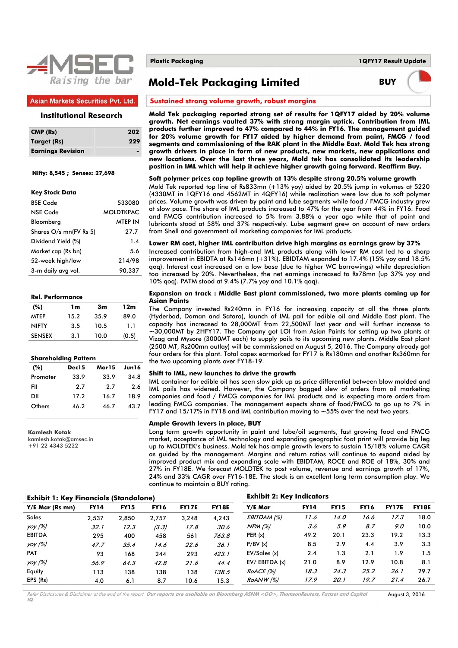

## **Asian Markets Securities Pvt. Ltd.**

## **Institutional Research**

| $CMP$ (Rs)               | 202 |
|--------------------------|-----|
| Target (Rs)              | 229 |
| <b>Earnings Revision</b> |     |

## **Nifty: 8,545 ; Sensex: 27,698**

#### **Key Stock Data**

| 533080           |
|------------------|
| <b>MOLDTKPAC</b> |
| MTEP IN          |
| 27.7             |
| 1.4              |
| 5.6              |
| 214/98           |
| 90,337           |
|                  |

| <b>Rel. Performance</b> |  |
|-------------------------|--|
|                         |  |

| (%)           | 1m   | 3m   | 12m   |
|---------------|------|------|-------|
| <b>MTEP</b>   | 15.2 | 35.9 | 89.0  |
| <b>NIFTY</b>  | 3.5  | 10.5 | 1.1   |
| <b>SENSEX</b> | 3.1  | 10.0 | (0.5) |
|               |      |      |       |

## **Shareholding Pattern**

| (%)      | Dec15 | Mar15 | Jun16 |
|----------|-------|-------|-------|
| Promoter | 33.9  | 33.9  | 34.8  |
| FII      | 2.7   | 2.7   | 2.6   |
| DII      | 17.2  | 16.7  | 18.9  |
| Others   | 46.2  | 46.7  | 43.7  |

**Kamlesh Kotak** 

kamlesh.kotak@amsec.in +91 22 4343 5222

**Plastic Packaging 1QFY17 Result Update**

# **Mold-Tek Packaging Limited BUY**



#### **Sustained strong volume growth, robust margins**

**Mold Tek packaging reported strong set of results for 1QFY17 aided by 20% volume growth. Net earnings vaulted 37% with strong margin uptick. Contribution from IML products further improved to 47% compared to 44% in FY16. The management guided for 20% volume growth for FY17 aided by higher demand from paint, FMCG / food segments and commissioning of the RAK plant in the Middle East. Mold Tek has strong growth drivers in place in form of new products, new markets, new applications and new locations. Over the last three years, Mold tek has consolidated its leadership position in IML which will help it achieve higher growth going forward. Reaffirm Buy.** 

### **Soft polymer prices cap topline growth at 13% despite strong 20.5% volume growth**

Mold Tek reported top line of Rs833mn (+13% yoy) aided by 20.5% jump in volumes at 5220 (4330MT in 1QFY16 and 4562MT in 4QFY16) while realization were low due to soft polymer prices. Volume growth was driven by paint and lube segments while food / FMCG industry grew at slow pace. The share of IML products increased to 47% for the year from 44% in FY16. Food and FMCG contribution increased to 5% from 3.88% a year ago while that of paint and lubricants stood at 58% and 37% respectively. Lube segment grew on account of new orders from Shell and government oil marketing companies for IML products.

## **Lower RM cost, higher IML contribution drive high margins as earnings grow by 37%**

Increased contribution from high-end IML products along with lower RM cost led to a sharp improvement in EBIDTA at Rs146mn (+31%). EBIDTAM expanded to 17.4% (15% yoy and 18.5% qoq). Interest cost increased on a low base (due to higher WC borrowings) while depreciation too increased by 20%. Nevertheless, the net earnings increased to Rs78mn (up 37% yoy and 10% qoq). PATM stood at 9.4% (7.7% yoy and 10.1% qoq).

### **Expansion on track : Middle East plant commissioned, two more plants coming up for Asian Paints**

The Company invested Rs240mn in FY16 for increasing capacity at all the three plants (Hyderbad, Daman and Satara), launch of IML pail for edible oil and Middle East plant. The capacity has increased to 28,000MT from 22,500MT last year and will further increase to ~30,000MT by 2HFY17. The Company got LOI from Asian Paints for setting up two plants at Vizag and Mysore (3000MT each) to supply pails to its upcoming new plants. Middle East plant (2500 MT, Rs200mn outlay) will be commissioned on August 5, 2016. The Company already got four orders for this plant. Total capex earmarked for FY17 is Rs180mn and another Rs360mn for the two upcoming plants over FY18-19.

## **Shift to IML, new launches to drive the growth**

IML container for edible oil has seen slow pick up as price differential between blow molded and IML pails has widened. However, the Company bagged slew of orders from oil marketing companies and food / FMCG companies for IML products and is expecting more orders from leading FMCG companies. The management expects share of food/FMCG to go up to 7% in FY17 and 15/17% in FY18 and IML contribution moving to  $\sim$  55% over the next two years.

#### **Ample Growth levers in place, BUY**

Long term growth opportunity in paint and lube/oil segments, fast growing food and FMCG market, acceptance of IML technology and expanding geographic foot print will provide big leg up to MOLDTEK's business. Mold tek has ample growth levers to sustain 15/18% volume CAGR as guided by the management. Margins and return ratios will continue to expand aided by improved product mix and expanding scale with EBIDTAM, ROCE and ROE of 18%, 30% and 27% in FY18E. We forecast MOLDTEK to post volume, revenue and earnings growth of 17%, 24% and 33% CAGR over FY16-18E. The stock is an excellent long term consumption play. We continue to maintain a BUY rating.

## **Exhibit 1: Key Financials (Standalone) Exhibit 2: Key Indicators Y/E Mar (Rs mn) FY14 FY15 FY16 FY17E FY18E Y/E Mar FY14 FY15 FY16 FY17E FY18E**  Sales 2,537 2,850 2,757 3,248 4,243 EBITDAM (%) 11.6 14.0 16.6 17.3 18.0 yoy (%) 32.1 12.3 (3.3) 17.8 30.6 NPM (%) 3.6 5.9 8.7 9.0 10.0 EBITDA 295 400 458 561 763.8 PER (x) 49.2 20.1 23.3 19.2 13.3 yoy (%) 47.7 35.4 14.6 22.6 36.1 P/BV (x) 8.5 2.9 4.4 3.9 3.3 PAT 93 168 244 293 423.1 EV/Sales (x) 2.4 1.3 2.1 1.9 1.5  $\frac{\frac{1}{2}}{\frac{1}{2}}$  56.9 64.3 42.8 21.6 44.4 EV/ EBITDA (x) 21.0 8.9 12.9 10.8 8.1 Equity 113 138 138 138 138.5 RoACE (%) 18.3 24.3 25.2 26.1 29.7 EPS (Rs) 4.0 6.1 8.7 10.6 15.3 *RoANW (%) 17.9 20.1 19.7 21.4* 26.7

Refer Disclosures & Disclaimer at the end of the report. **Our reports are available on Bloomberg ASNM <GO>, ThomsonReuters, Factset and Capital IQ**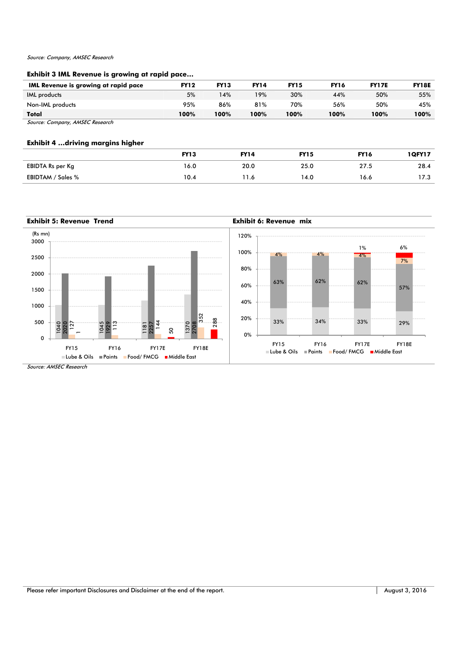## Source: Company, AMSEC Research

## **Exhibit 3 IML Revenue is growing at rapid pace…**

| <b>IML Revenue is growing at rapid pace</b> | <b>FY12</b> | <b>FY13</b> | <b>FY14</b> | <b>FY15</b> | <b>FY16</b> | <b>FY17E</b> | <b>FY18E</b> |
|---------------------------------------------|-------------|-------------|-------------|-------------|-------------|--------------|--------------|
| <b>IML</b> products                         | 5%          | 14%         | 19%         | 30%         | 44%         | 50%          | 55%          |
| Non-IML products                            | 95%         | 86%         | 81%         | 70%         | 56%         | 50%          | 45%          |
| Total                                       | 100%        | 100%        | 100%        | 100%        | 100%        | 100%         | 100%         |
| Source: Company, AMSEC Research             |             |             |             |             |             |              |              |

**Exhibit 4 …driving margins higher** 

|                         | <b>FY13</b> | <b>FY14</b> | <b>FY15</b> | <b>FY16</b> | <b>1QFY17</b> |
|-------------------------|-------------|-------------|-------------|-------------|---------------|
| <b>EBIDTA Rs per Kg</b> | 16.0        | 20.0        | 25.0        | 27.5        | 28.4          |
| EBIDTAM / Sales %       | 10.4        |             | 14.0        | 16.6        | 17.3          |

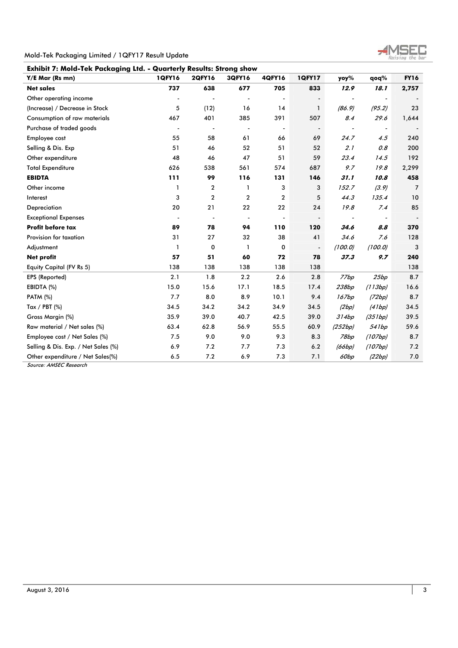

Mold-Tek Packaging Limited / 1QFY17 Result Update

| Y/E Mar (Rs mn)                     | 1QFY16         | <b>2QFY16</b>            | 3QFY16                   | 4QFY16                   | <b>1QFY17</b>            | yoy%                     | qoq%                     | <b>FY16</b>    |
|-------------------------------------|----------------|--------------------------|--------------------------|--------------------------|--------------------------|--------------------------|--------------------------|----------------|
| <b>Net sales</b>                    | 737            | 638                      | 677                      | 705                      | 833                      | 12.9                     | 18.1                     | 2,757          |
| Other operating income              |                | $\blacksquare$           |                          |                          | $\overline{\phantom{a}}$ | $\overline{\phantom{a}}$ | $\overline{\phantom{a}}$ |                |
| (Increase) / Decrease in Stock      | 5              | (12)                     | 16                       | 14                       | $\mathbf{1}$             | (86.9)                   | (95.2)                   | 23             |
| Consumption of raw materials        | 467            | 401                      | 385                      | 391                      | 507                      | 8.4                      | 29.6                     | 1,644          |
| Purchase of traded goods            |                | $\overline{\phantom{a}}$ | $\overline{\phantom{a}}$ | $\overline{\phantom{a}}$ | $\blacksquare$           | $\overline{\phantom{a}}$ | $\overline{\phantom{a}}$ |                |
| Employee cost                       | 55             | 58                       | 61                       | 66                       | 69                       | 24.7                     | 4.5                      | 240            |
| Selling & Dis. Exp                  | 51             | 46                       | 52                       | 51                       | 52                       | 2.1                      | 0.8                      | 200            |
| Other expenditure                   | 48             | 46                       | 47                       | 51                       | 59                       | 23.4                     | 14.5                     | 192            |
| <b>Total Expenditure</b>            | 626            | 538                      | 561                      | 574                      | 687                      | 9.7                      | 19.8                     | 2,299          |
| <b>EBIDTA</b>                       | 111            | 99                       | 116                      | 131                      | 146                      | 31.1                     | 10.8                     | 458            |
| Other income                        | 1              | $\boldsymbol{2}$         | 1                        | 3                        | 3                        | 152.7                    | (3.9)                    | $\overline{7}$ |
| Interest                            | 3              | $\overline{2}$           | $\overline{2}$           | $\overline{2}$           | 5                        | 44.3                     | 135.4                    | 10             |
| Depreciation                        | 20             | 21                       | 22                       | 22                       | 24                       | 19.8                     | 7.4                      | 85             |
| <b>Exceptional Expenses</b>         | $\blacksquare$ | $\overline{\phantom{a}}$ | $\blacksquare$           | $\blacksquare$           | $\blacksquare$           | $\overline{\phantom{a}}$ | $\overline{\phantom{a}}$ |                |
| <b>Profit before tax</b>            | 89             | 78                       | 94                       | 110                      | 120                      | 34.6                     | 8.8                      | 370            |
| Provision for taxation              | 31             | 27                       | 32                       | 38                       | 41                       | 34.6                     | 7.6                      | 128            |
| Adjustment                          | 1              | $\mathbf 0$              | $\mathbf{1}$             | 0                        | $\overline{\phantom{a}}$ | (100.0)                  | (100.0)                  | 3              |
| <b>Net profit</b>                   | 57             | 51                       | 60                       | 72                       | 78                       | 37.3                     | 9.7                      | 240            |
| Equity Capital (FV Rs 5)            | 138            | 138                      | 138                      | 138                      | 138                      |                          |                          | 138            |
| EPS (Reported)                      | 2.1            | 1.8                      | 2.2                      | 2.6                      | 2.8                      | 77bp                     | 25bp                     | 8.7            |
| EBIDTA (%)                          | 15.0           | 15.6                     | 17.1                     | 18.5                     | 17.4                     | 238bp                    | (113bp)                  | 16.6           |
| <b>PATM (%)</b>                     | 7.7            | 8.0                      | 8.9                      | 10.1                     | 9.4                      | 167bp                    | (72bp)                   | 8.7            |
| Tax / PBT $(\%)$                    | 34.5           | 34.2                     | 34.2                     | 34.9                     | 34.5                     | (2bp)                    | (41bp)                   | 34.5           |
| Gross Margin (%)                    | 35.9           | 39.0                     | 40.7                     | 42.5                     | 39.0                     | 314bp                    | (351bp)                  | 39.5           |
| Raw material / Net sales (%)        | 63.4           | 62.8                     | 56.9                     | 55.5                     | 60.9                     | (252bp)                  | 541bp                    | 59.6           |
| Employee cost / Net Sales (%)       | 7.5            | 9.0                      | 9.0                      | 9.3                      | 8.3                      | 78bp                     | (107bp)                  | 8.7            |
| Selling & Dis. Exp. / Net Sales (%) | 6.9            | 7.2                      | 7.7                      | 7.3                      | 6.2                      | (66bp)                   | (107bp)                  | 7.2            |
| Other expenditure / Net Sales(%)    | 6.5            | 7.2                      | 6.9                      | 7.3                      | 7.1                      | 60bp                     | (22bp)                   | 7.0            |

Source: AMSEC Research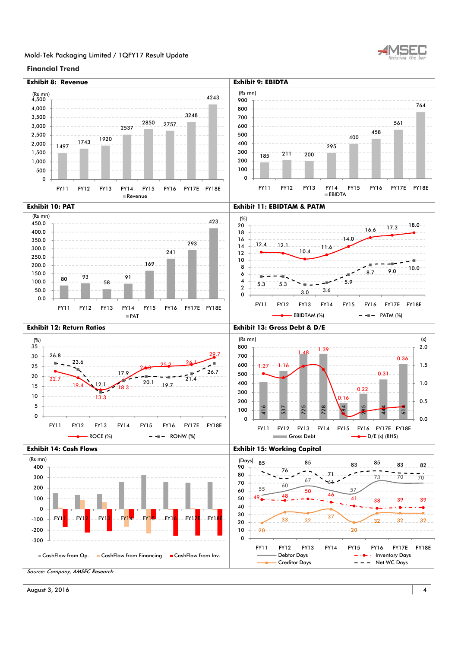

## Mold-Tek Packaging Limited / 1QFY17 Result Update

## **Financial Trend**

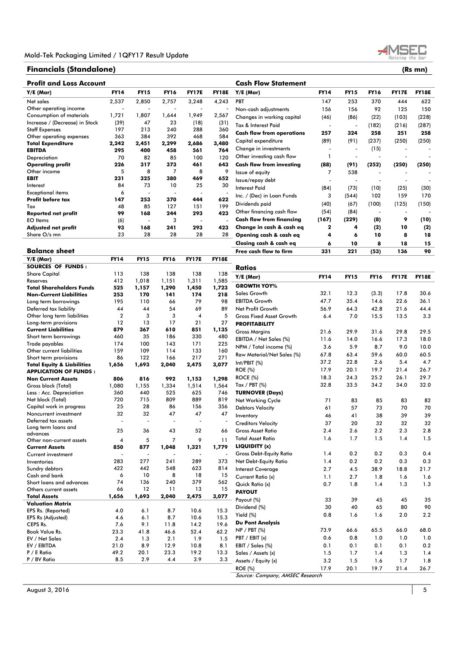## **Financials (Standalone) (Rs mn)**

**Profit and Loss Account** 

| Y/E (Mar)                             | <b>FY14</b>              | <b>FY15</b>              | <b>FY16</b>    | FY17E                    | FY18E                    | Y/E (Mar)                        | <b>FY14</b>              | <b>FY15</b>              | <b>FY16</b>              | <b>FY17E</b>             | <b>FY18E</b> |
|---------------------------------------|--------------------------|--------------------------|----------------|--------------------------|--------------------------|----------------------------------|--------------------------|--------------------------|--------------------------|--------------------------|--------------|
| Net sales                             | 2,537                    | 2,850                    | 2,757          | 3,248                    | 4,243                    | PBT                              | 147                      | 253                      | 370                      | 444                      | 622          |
| Other operating income                |                          |                          |                |                          |                          | Non-cash adjustments             | 156                      | 156                      | 92                       | 125                      | 150          |
| Consumption of materials              | 1,721                    | 1,807                    | 1,644          | 1,949                    | 2,567                    | Changes in working capital       | (46)                     | (86)                     | (22)                     | (103)                    | (228)        |
| Increase / (Decrease) in Stock        | (39)                     | 47                       | 23             | (18)                     | (31)                     |                                  |                          |                          |                          |                          |              |
| <b>Staff Expenses</b>                 | 197                      | 213                      | 240            | 288                      | 360                      | Tax & Interest Paid              | $\overline{\phantom{a}}$ | $\overline{\phantom{a}}$ | (182)                    | (216)                    | (287)        |
| Other operating expenses              | 363                      | 384                      | 392            | 468                      | 584                      | <b>Cash flow from operations</b> | 257                      | 324                      | 258                      | 251                      | 258          |
| <b>Total Expenditure</b>              | 2,242                    | 2,451                    | 2,299          | 2,686                    | 3,480                    | Capital expenditure              | (89)                     | (91)                     | (237)                    | (250)                    | (250)        |
| <b>EBITDA</b>                         | 295                      | 400                      | 458            | 561                      | 764                      | Change in investments            | $\overline{\phantom{a}}$ | ÷,                       | (15)                     |                          |              |
| Depreciation                          | 70                       | 82                       | 85             | 100                      | 120                      | Other investing cash flow        | 1                        | $\overline{\phantom{a}}$ | ÷                        | $\blacksquare$           |              |
| <b>Operating profit</b>               | 226                      | 317                      | 373            | 461                      | 643                      | <b>Cash flow from investing</b>  | (88)                     | (91)                     | (252)                    | (250)                    | (250)        |
| Other income                          | 5                        | 8                        | 7              | 8                        | 9                        | Issue of equity                  | 7                        | 538                      |                          |                          |              |
| <b>EBIT</b>                           | 231                      | 325                      | 380            | 469                      | 652                      |                                  |                          |                          |                          |                          |              |
| Interest                              | 84                       | 73                       | 10             | 25                       | 30                       | Issue/repay debt                 |                          |                          |                          |                          |              |
| <b>Exceptional items</b>              | 6                        | ÷,                       | ÷,             | $\overline{\phantom{a}}$ |                          | <b>Interest Paid</b>             | (84)                     | (73)                     | (10)                     | (25)                     | (30)         |
| Profit before tax                     | 147                      | 253                      | 370            | 444                      | 622                      | Inc. / (Dec) in Loan Funds       | 3                        | (544)                    | 102                      | 159                      | 170          |
| Tax                                   | 48                       | 85                       | 127            | 151                      | 199                      | Dividends paid                   | (40)                     | (67)                     | (100)                    | (125)                    | (150)        |
| <b>Reported net profit</b>            | 99                       | 168                      | 244            | 293                      | 423                      | Other financing cash flow        | (54)                     | (84)                     | $\overline{\phantom{a}}$ | $\overline{\phantom{a}}$ |              |
| <b>EO</b> Items                       |                          | ÷,                       | 3              | $\overline{\phantom{a}}$ |                          | <b>Cash flow from financing</b>  | (167)                    | (229)                    | (8)                      | 9                        | (10)         |
|                                       | (6)<br>93                | 168                      | 241            | 293                      | 423                      | Change in cash & cash eq         | $\mathbf 2$              | 4                        |                          | 10                       |              |
| <b>Adjusted net profit</b>            | 23                       | 28                       | 28             | 28                       |                          |                                  |                          |                          | (2)                      |                          | (2)          |
| Share O/s mn                          |                          |                          |                |                          | 28                       | Opening cash & cash eq           | 4                        | 6                        | 10                       | 8                        | 18           |
|                                       |                          |                          |                |                          |                          | Closing cash & cash eq           | 6                        | 10                       | 8                        | 18                       | 15           |
| <b>Balance sheet</b>                  |                          |                          |                |                          |                          | Free cash flow to firm           | 331                      | 221                      | (53)                     | 136                      | 90           |
| $Y/E$ (Mar)                           | <b>FY14</b>              | <b>FY15</b>              | <b>FY16</b>    | <b>FY17E</b>             | <b>FY18E</b>             |                                  |                          |                          |                          |                          |              |
| <b>SOURCES OF FUNDS:</b>              |                          |                          |                |                          |                          | <b>Ratios</b>                    |                          |                          |                          |                          |              |
| <b>Share Capital</b>                  | 113                      | 138                      | 138            | 138                      | 138                      | Y/E (Mar)                        | <b>FY14</b>              | <b>FY15</b>              | <b>FY16</b>              | <b>FY17E</b>             | <b>FY18E</b> |
| Reserves                              | 412                      | 1,018                    | 1,151          | 1,311                    | 1,585                    |                                  |                          |                          |                          |                          |              |
| <b>Total Shareholders Funds</b>       | 525                      | 1,157                    | 1,290          | 1,450                    | 1,723                    | <b>GROWTH YOY%</b>               |                          |                          |                          |                          |              |
| <b>Non-Current Liabilities</b>        | 253                      | 170                      | 141            | 174                      | 218                      | Sales Growth                     | 32.1                     | 12.3                     | (3.3)                    | 17.8                     | 30.6         |
| Long term borrowings                  | 195                      | 110                      | 66             | 79                       | 98                       | <b>EBITDA Growth</b>             | 47.7                     | 35.4                     | 14.6                     | 22.6                     | 36.1         |
| Deferred tax liability                | 44                       | 44                       | 54             | 69                       | 89                       | Net Profit Growth                | 56.9                     | 64.3                     | 42.8                     | 21.6                     | 44.4         |
| Other long term liabilities           | $\overline{2}$           | 3                        | 3              | 4                        | 5                        | <b>Gross Fixed Asset Growth</b>  | 6.4                      | 7.0                      | 15.5                     | 13.5                     | 3.3          |
| Long-term provisions                  | 12                       | 13                       | 17             | 21                       | 27                       | <b>PROFITABILITY</b>             |                          |                          |                          |                          |              |
| <b>Current Liabilities</b>            | 879                      | 367                      | 610            | 851                      | 1,135                    | <b>Gross Margins</b>             | 21.6                     | 29.9                     | 31.6                     | 29.8                     | 29.5         |
| Short term borrowings                 | 460                      | 35                       | 186            | 330                      | 480                      |                                  | 11.6                     |                          | 16.6                     | 17.3                     | 18.0         |
| Trade payables                        | 174                      | 100                      | 143            | 171                      | 225                      | EBITDA / Net Sales (%)           |                          | 14.0                     |                          |                          |              |
| Other current liabilities             | 159                      | 109                      | 114            | 133                      | 160                      | NPM / Total income (%)           | 3.6                      | 5.9                      | 8.7                      | 9.0                      | 10.0         |
| Short term provisions                 | 86                       | 122                      | 166            | 217                      | 271                      | Raw Material/Net Sales (%)       | 67.8                     | 63.4                     | 59.6                     | 60.0                     | 60.5         |
| <b>Total Equity &amp; Liabilities</b> | 1,656                    | 1,693                    | 2,040          | 2,475                    | 3,077                    | Int/PBIT (%)                     | 37.2                     | 22.8                     | 2.6                      | 5.4                      | 4.7          |
| <b>APPLICATION OF FUNDS:</b>          |                          |                          |                |                          |                          | <b>ROE</b> (%)                   | 17.9                     | 20.1                     | 19.7                     | 21.4                     | 26.7         |
| <b>Non Current Assets</b>             | 806                      | 816                      | 992            | 1,153                    | 1,298                    | <b>ROCE (%)</b>                  | 18.3                     | 24.3                     | 25.2                     | 26.1                     | 29.7         |
| Gross block (Total)                   | 1,080                    | 1,155                    | 1,334          | 1,514                    | 1,564                    | Tax / PBT $(\%)$                 | 32.8                     | 33.5                     | 34.2                     | 34.0                     | 32.0         |
| Less: Acc. Depreciation               | 360                      | 440                      | 525            | 625                      | 746                      | <b>TURNOVER (Days)</b>           |                          |                          |                          |                          |              |
| Net block (Total)                     | 720                      | 715                      | 809            | 889                      | 819                      | Net Working Cycle                | 71                       | 83                       | 85                       | 83                       | 82           |
| Capital work in progress              | 25                       | 28                       | 86             | 156                      | 356                      | <b>Debtors Velocity</b>          | 61                       | 57                       | 73                       | 70                       | 70           |
| Noncurrent investment                 | 32                       | 32                       | 47             | 47                       | 47                       |                                  |                          |                          |                          |                          |              |
| Deferred tax assets                   | ÷,                       | J.                       |                | $\overline{\phantom{a}}$ |                          | Inventory                        | 46                       | 41                       | 38                       | 39                       | 39           |
| Long term loans and                   |                          |                          |                |                          |                          | <b>Creditors Velocity</b>        | 37                       | 20                       | 32                       | 32                       | 32           |
| advances                              | 25                       | 36                       | 43             | 52                       | 66                       | <b>Gross Asset Ratio</b>         | 2.4                      | 2.6                      | 2.2                      | 2.3                      | 2.8          |
| Other non-current assets              | $\overline{\mathbf{4}}$  | 5                        | $\overline{7}$ | 9                        | 11                       | <b>Total Asset Ratio</b>         | 1.6                      | 1.7                      | 1.5                      | 1.4                      | 1.5          |
| <b>Current Assets</b>                 | 850                      | 877                      | 1,048          | 1,321                    | 1,779                    | LIQUIDITY (x)                    |                          |                          |                          |                          |              |
| Current investment                    | $\overline{\phantom{a}}$ | $\overline{\phantom{a}}$ |                |                          | $\overline{\phantom{a}}$ | <b>Gross Debt-Equity Ratio</b>   | 1.4                      | 0.2                      | 0.2                      | 0.3                      | 0.4          |
| Inventories                           | 283                      | 277                      | 241            | 289                      | 373                      | Net Debt-Equity Ratio            | 1.4                      | 0.2                      | 0.2                      | 0.3                      | 0.3          |
| Sundry debtors                        | 422                      | 442                      | 548            | 623                      | 814                      | <b>Interest Coverage</b>         | 2.7                      | 4.5                      | 38.9                     | 18.8                     | 21.7         |
| Cash and bank                         | 6                        | 10                       | 8              | 18                       | 15                       | Current Ratio (x)                | 1.1                      | 2.7                      | 1.8                      | 1.6                      | 1.6          |
| Short loans and advances              | 74                       | 136                      | 240            | 379                      | 562                      | Quick Ratio (x)                  | 0.7                      | 1.8                      | 1.4                      | 1.3                      | 1.3          |
| Others current assets                 | 66                       | 12                       | 11             | 13                       | 15                       |                                  |                          |                          |                          |                          |              |
| <b>Total Assets</b>                   | 1,656                    | 1,693                    | 2,040          | 2,475                    | 3,077                    | <b>PAYOUT</b>                    |                          |                          |                          |                          |              |
| <b>Valuation Matrix</b>               |                          |                          |                |                          |                          | Payout (%)                       | 33                       | 39                       | 45                       | 45                       | 35           |
| EPS Rs. (Reported)                    | 4.0                      | 6.1                      | 8.7            | 10.6                     | 15.3                     | Dividend (%)                     | 30                       | 40                       | 65                       | 80                       | 90           |
| EPS Rs (Adjusted)                     | 4.6                      | 6.1                      | 8.7            | 10.6                     | 15.3                     | Yield (%)                        | 0.8                      | 1.6                      | 1.6                      | 2.0                      | 2.2          |
| CEPS Rs.                              | 7.6                      | 9.1                      | 11.8           | 14.2                     | 19.6                     | <b>Du Pont Analysis</b>          |                          |                          |                          |                          |              |
| Book Value Rs.                        | 23.3                     | 41.8                     | 46.6           | 52.4                     | 62.2                     | $NP / PBT$ (%)                   | 73.9                     | 66.6                     | 65.5                     | 66.0                     | 68.0         |
| EV / Net Sales                        | 2.4                      | 1.3                      | 2.1            | 1.9                      | 1.5                      | PBT / EBIT (x)                   | 0.6                      | 0.8                      | 1.0                      | 1.0                      | 1.0          |
| EV / EBITDA                           | 21.0                     | 8.9                      | 12.9           | 10.8                     | 8.1                      | EBIT / Sales (%)                 | 0.1                      | 0.1                      | 0.1                      | 0.1                      | 0.2          |
| P / E Ratio                           | 49.2                     | 20.1                     | 23.3           | 19.2                     | 13.3                     | Sales / Assets (x)               | 1.5                      | 1.7                      | 1.4                      | 1.3                      |              |
| P / BV Ratio                          | 8.5                      | 2.9                      | 4.4            | 3.9                      | 3.3                      |                                  |                          |                          |                          |                          | 1.4          |
|                                       |                          |                          |                |                          |                          | Assets / Equity (x)              | 3.2                      | 1.5                      | 1.6                      | 1.7                      | 1.8          |
|                                       |                          |                          |                |                          |                          | <b>ROE (%)</b>                   | 17.9                     | 20.1                     | 19.7                     | 21.4                     | 26.7         |
|                                       |                          |                          |                |                          |                          | Source: Company, AMSEC Research  |                          |                          |                          |                          |              |

**Cash Flow Statement** 

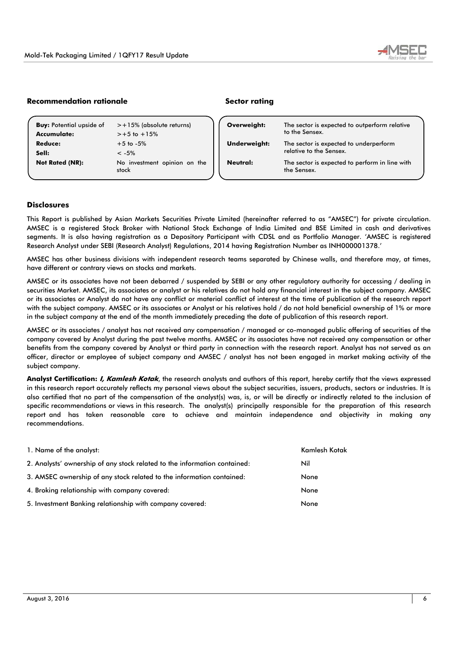

## **Recommendation rationale and all resources in the Sector rating**

| <b>Buy:</b> Potential upside of | > +15% (absolute returns)             | Overweight:     |
|---------------------------------|---------------------------------------|-----------------|
| Accumulate:                     | $>+5$ to $+15%$                       |                 |
| <b>Reduce:</b>                  | $+5$ to $-5%$                         | Underweight     |
| Sell:                           | $< -5\%$                              |                 |
| <b>Not Rated (NR):</b>          | No investment opinion on the<br>stock | <b>Neutral:</b> |

| Overweight:  | The sector is expected to outperform relative<br>to the Sensex.   |  |
|--------------|-------------------------------------------------------------------|--|
| Underweight: | The sector is expected to underperform<br>relative to the Sensex. |  |
| Neutral:     | The sector is expected to perform in line with<br>the Sensex.     |  |

## **Disclosures**

This Report is published by Asian Markets Securities Private Limited (hereinafter referred to as "AMSEC") for private circulation. AMSEC is a registered Stock Broker with National Stock Exchange of India Limited and BSE Limited in cash and derivatives segments. It is also having registration as a Depository Participant with CDSL and as Portfolio Manager. 'AMSEC is registered Research Analyst under SEBI (Research Analyst) Regulations, 2014 having Registration Number as INH000001378.'

AMSEC has other business divisions with independent research teams separated by Chinese walls, and therefore may, at times, have different or contrary views on stocks and markets.

AMSEC or its associates have not been debarred / suspended by SEBI or any other regulatory authority for accessing / dealing in securities Market. AMSEC, its associates or analyst or his relatives do not hold any financial interest in the subject company. AMSEC or its associates or Analyst do not have any conflict or material conflict of interest at the time of publication of the research report with the subject company. AMSEC or its associates or Analyst or his relatives hold / do not hold beneficial ownership of 1% or more in the subject company at the end of the month immediately preceding the date of publication of this research report.

AMSEC or its associates / analyst has not received any compensation / managed or co-managed public offering of securities of the company covered by Analyst during the past twelve months. AMSEC or its associates have not received any compensation or other benefits from the company covered by Analyst or third party in connection with the research report. Analyst has not served as an officer, director or employee of subject company and AMSEC / analyst has not been engaged in market making activity of the subject company.

**Analyst Certification: I, Kamlesh Kotak**, the research analysts and authors of this report, hereby certify that the views expressed in this research report accurately reflects my personal views about the subject securities, issuers, products, sectors or industries. It is also certified that no part of the compensation of the analyst(s) was, is, or will be directly or indirectly related to the inclusion of specific recommendations or views in this research. The analyst(s) principally responsible for the preparation of this research report and has taken reasonable care to achieve and maintain independence and objectivity in making any recommendations.

| 1. Name of the analyst:                                                   | Kamlesh Kotak |
|---------------------------------------------------------------------------|---------------|
| 2. Analysts' ownership of any stock related to the information contained: | Nil           |
| 3. AMSEC ownership of any stock related to the information contained:     | None          |
| 4. Broking relationship with company covered:                             | None          |
| 5. Investment Banking relationship with company covered:                  | None          |